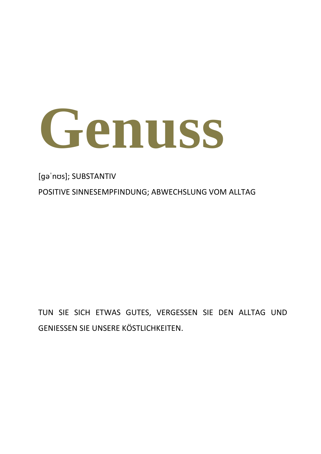

[ɡəˈnʊs]; SUBSTANTIV POSITIVE SINNESEMPFINDUNG; ABWECHSLUNG VOM ALLTAG

TUN SIE SICH ETWAS GUTES, VERGESSEN SIE DEN ALLTAG UND GENIESSEN SIE UNSERE KÖSTLICHKEITEN.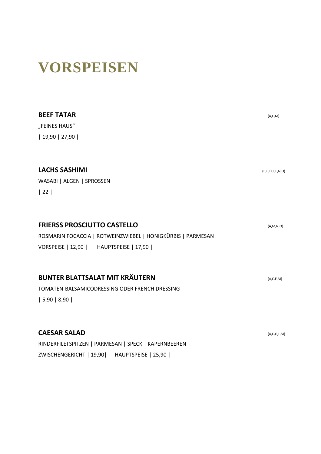### **VORSPEISEN**

| <b>BEEF TATAR</b>                                           | (A, C, M)       |
|-------------------------------------------------------------|-----------------|
| "FEINES HAUS"                                               |                 |
| 19,90 27,90                                                 |                 |
| <b>LACHS SASHIMI</b>                                        | (B,C,D,E,F,N,O) |
| WASABI   ALGEN   SPROSSEN                                   |                 |
| 22                                                          |                 |
| <b>FRIERSS PROSCIUTTO CASTELLO</b>                          | (A, M, N, O)    |
| ROSMARIN FOCACCIA   ROTWEINZWIEBEL   HONIGKÜRBIS   PARMESAN |                 |
| VORSPEISE   12,90   HAUPTSPEISE   17,90                     |                 |
| <b>BUNTER BLATTSALAT MIT KRÄUTERN</b>                       | (A, C, E, M)    |
| TOMATEN-BALSAMICODRESSING ODER FRENCH DRESSING              |                 |
| 5,90 8,90                                                   |                 |
| <b>CAESAR SALAD</b>                                         | (A,C,G,L,M)     |
| RINDERFILETSPITZEN   PARMESAN   SPECK   KAPERNBEEREN        |                 |

ZWISCHENGERICHT | 19,90| HAUPTSPEISE | 25,90 |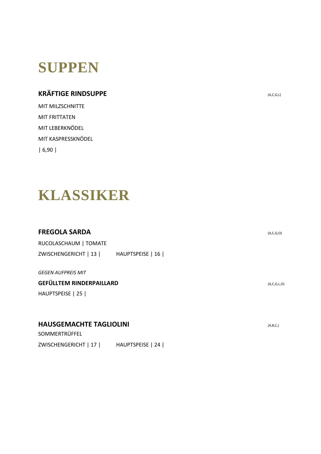## **SUPPEN**

#### **KRÄFTIGE RINDSUPPE** (A,C,G,L)

MIT MILZSCHNITTE MIT FRITTATEN MIT LEBERKNÖDEL MIT KASPRESSKNÖDEL | 6,90 |

### **KLASSIKER**

#### **FREGOLA SARDA** (A,C,G;O)

RUCOLASCHAUM | TOMATE ZWISCHENGERICHT | 13 | HAUPTSPEISE | 16 |

*GEGEN AUFPREIS MIT*

#### **GEFÜLLTEM RINDERPAILLARD** (A,C,G,L,O)

HAUPTSPEISE | 25 |

#### **HAUSGEMACHTE TAGLIOLINI** (A,B,C,)

SOMMERTRÜFFEL ZWISCHENGERICHT | 17 | HAUPTSPEISE | 24 |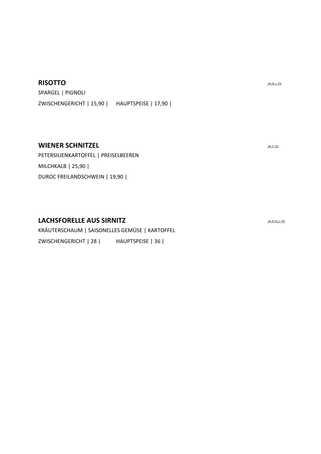#### **RISOTTO** (A,G,L,O)

SPARGEL | PIGNOLI ZWISCHENGERICHT | 15,90 | HAUPTSPEISE | 17,90 |

#### **WIENER SCHNITZEL** (A,C,G)

PETERSILIENKARTOFFEL | PREISELBEEREN MILCHKALB | 25,90 | DUROC FREILANDSCHWEIN | 19,90 |

#### **LACHSFORELLE AUS SIRNITZ** (A,D,G,L,O)

KRÄUTERSCHAUM | SAISONELLES GEMÜSE | KARTOFFEL ZWISCHENGERICHT | 28 | HAUPTSPEISE | 36 |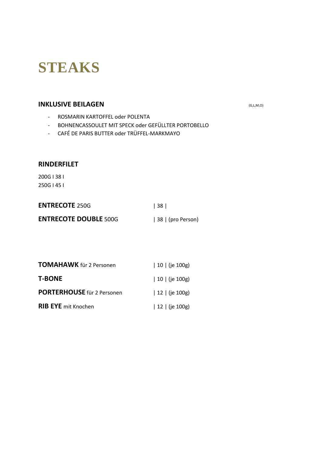# **STEAKS**

#### **INKLUSIVE BEILAGEN** *INKLUSIVE BEILAGEN*

- ROSMARIN KARTOFFEL oder POLENTA
- BOHNENCASSOULET MIT SPECK oder GEFÜLLTER PORTOBELLO
- CAFÉ DE PARIS BUTTER oder TRÜFFEL-MARKMAYO

#### **RINDERFILET**

200G I 38 I 250G I 45 I

| <b>ENTRECOTE 250G</b>        | 38                |
|------------------------------|-------------------|
| <b>ENTRECOTE DOUBLE 500G</b> | 38   (pro Person) |

| TOMAHAWK für 2 Personen           | 10   (je 100g)      |
|-----------------------------------|---------------------|
| <b>T-BONE</b>                     | 10   (je 100g)      |
| <b>PORTERHOUSE</b> für 2 Personen | $12$   (je $100g$ ) |
| <b>RIB EYE</b> mit Knochen        | 12   (je 100g)      |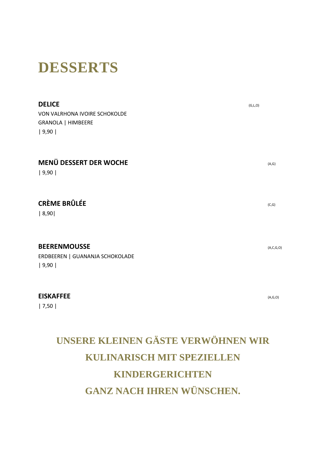### **DESSERTS**

| <b>DELICE</b><br>VON VALRHONA IVOIRE SCHOKOLDE<br>GRANOLA   HIMBEERE<br>  9,90 | (G, L, O) |
|--------------------------------------------------------------------------------|-----------|
| MENÜ DESSERT DER WOCHE<br>  9,90                                               | (A,G)     |
| <b>CRÈME BRÛLÉE</b><br> 8,90                                                   | (C,G)     |
| <b>BEERENMOUSSE</b>                                                            | (A,C,G,O) |

ERDBEEREN | GUANANJA SCHOKOLADE | 9,90 |

#### **EISKAFFEE** (A,G,O)

| 7,50 |

### **UNSERE KLEINEN GÄSTE VERWÖHNEN WIR KULINARISCH MIT SPEZIELLEN KINDERGERICHTEN GANZ NACH IHREN WÜNSCHEN.**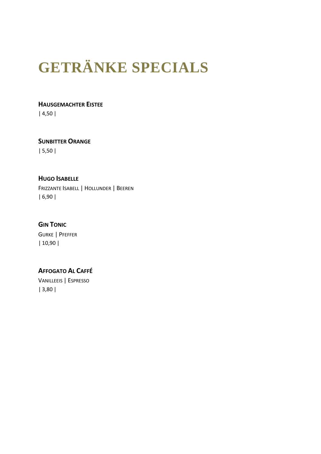# **GETRÄNKE SPECIALS**

#### **HAUSGEMACHTER EISTEE**

| 4,50 |

#### **SUNBITTER ORANGE**

| 5,50 |

#### **HUGO ISABELLE**

FRIZZANTE ISABELL | HOLLUNDER | BEEREN | 6,90 |

#### **GIN TONIC**

GURKE | PFEFFER | 10,90 |

#### **AFFOGATO AL CAFFÉ**

VANILLEEIS | ESPRESSO | 3,80 |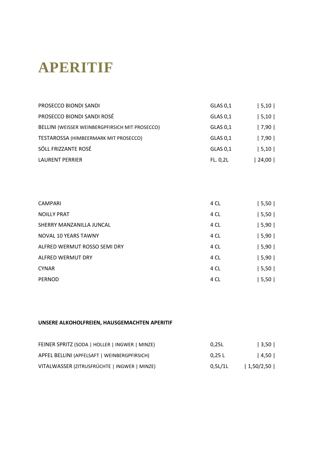# **APERITIF**

| PROSECCO BIONDI SANDI                           | GLAS 0,1 | 5, 10 |
|-------------------------------------------------|----------|-------|
| PROSECCO BIONDI SANDI ROSÉ                      | GLAS 0,1 | 5, 10 |
| BELLINI (WEISSER WEINBERGPFIRSICH MIT PROSECCO) | GLAS 0,1 | 7,90  |
| TESTAROSSA (HIMBEERMARK MIT PROSECCO)           | GLAS 0,1 | 7,90  |
| SÖLL FRIZZANTE ROSÉ                             | GLAS 0,1 | 5, 10 |
| <b>LAURENT PERRIER</b>                          | FL. 0.2L | 24,00 |
|                                                 |          |       |

| <b>CAMPARI</b>               | 4 CL | 5,50 |
|------------------------------|------|------|
| <b>NOILLY PRAT</b>           | 4 CL | 5,50 |
| SHERRY MANZANILLA JUNCAL     | 4 CL | 5,90 |
| NOVAL 10 YEARS TAWNY         | 4 CL | 5,90 |
| ALFRED WERMUT ROSSO SEMI DRY | 4 CL | 5,90 |
| <b>ALFRED WERMUT DRY</b>     | 4 CL | 5,90 |
| <b>CYNAR</b>                 | 4 CL | 5,50 |
| <b>PERNOD</b>                | 4 CL | 5,50 |

#### **UNSERE ALKOHOLFREIEN, HAUSGEMACHTEN APERITIF**

| FEINER SPRITZ (SODA   HOLLER   INGWER   MINZE) | 0.25L          | 3,50      |
|------------------------------------------------|----------------|-----------|
| APFEL BELLINI (APFELSAFT   WEINBERGPFIRSICH)   | 0.25L          | 4,50      |
| VITALWASSER (ZITRUSFRÜCHTE   INGWER   MINZE)   | $0.5$ L $/1$ L | 1,50/2,50 |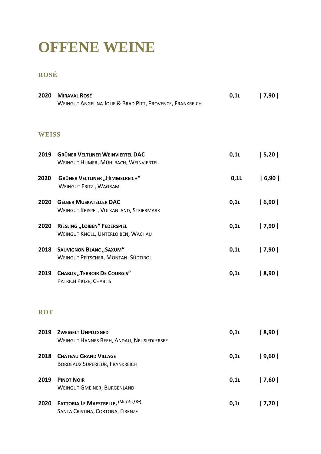### **OFFENE WEINE**

#### **ROSÉ**

| 2020         | <b>MIRAVAL ROSÉ</b><br>WEINGUT ANGELINA JOLIE & BRAD PITT, PROVENCE, FRANKREICH | $0,1$ L | 7,90 |
|--------------|---------------------------------------------------------------------------------|---------|------|
| <b>WEISS</b> |                                                                                 |         |      |
| 2019         | <b>GRÜNER VELTLINER WEINVIERTEL DAC</b><br>WEINGUT HUMER, MÜHLBACH, WEINVIERTEL | $0,1$ L | 5,20 |
| 2020         | <b>GRÜNER VELTLINER "HIMMELREICH"</b><br><b>WEINGUT FRITZ, WAGRAM</b>           | $0,1$ L | 6,90 |
| 2020         | <b>GELBER MUSKATELLER DAC</b><br>WEINGUT KRISPEL, VULKANLAND, STEIERMARK        | $0,1$ L | 6,90 |
| 2020         | <b>RIESLING "LOIBEN" FEDERSPIEL</b><br>WEINGUT KNOLL, UNTERLOIBEN, WACHAU       | $0,1$ L | 7,90 |
| 2018         | <b>SAUVIGNON BLANC, SAXUM"</b><br>WEINGUT PFITSCHER, MONTAN, SÜDTIROL           | $0,1$ L | 7,90 |
| 2019         | <b>CHABLIS "TERROIR DE COURGIS"</b><br>PATRICH PIUZE, CHABLIS                   | 0,11    | 8,90 |
| <b>ROT</b>   |                                                                                 |         |      |
| 2019         | <b>ZWEIGELT UNPLUGGED</b><br>WEINGUT HANNES REEH, ANDAU, NEUSIEDLERSEE          | 0,11    | 8,90 |
| 2018         | <b>CHÂTEAU GRAND VILLAGE</b><br><b>BORDEAUX SUPERIEUR, FRANKREICH</b>           | 0,11    | 9,60 |
| 2019         | <b>PINOT NOIR</b><br><b>WEINGUT GMEINER, BURGENLAND</b>                         | 0,1     | 7,60 |
| 2020         | FATTORIA LE MAESTRELLE, (ME / SG / SY)<br>SANTA CRISTINA, CORTONA, FIRENZE      | 0,11    | 7,70 |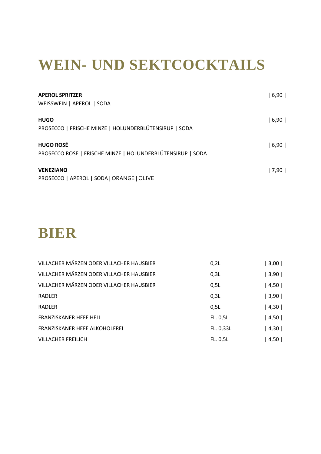## **WEIN- UND SEKTCOCKTAILS**

| <b>APEROL SPRITZER</b><br>WEISSWEIN   APEROL   SODA                            | 6,90 |
|--------------------------------------------------------------------------------|------|
| <b>HUGO</b><br>PROSECCO   FRISCHE MINZE   HOLUNDERBLÜTENSIRUP   SODA           | 6,90 |
| <b>HUGO ROSÉ</b><br>PROSECCO ROSE   FRISCHE MINZE   HOLUNDERBLÜTENSIRUP   SODA | 6,90 |
| <b>VENEZIANO</b><br>PROSECCO   APEROL   SODA   ORANGE   OLIVE                  | 7,90 |

### **BIER**

| VILLACHER MÄRZEN ODER VILLACHER HAUSBIER | 0,2L      | $3,00$ |
|------------------------------------------|-----------|--------|
| VILLACHER MÄRZEN ODER VILLACHER HAUSBIER | 0,3L      | 3,90   |
| VILLACHER MÄRZEN ODER VILLACHER HAUSBIER | 0,5L      | 4,50   |
| RADLER                                   | 0,3L      | 3,90   |
| <b>RADLER</b>                            | 0,5L      | 4,30   |
| <b>FRANZISKANER HEFE HELL</b>            | FL. 0,5L  | 4,50   |
| FRANZISKANER HEFE ALKOHOLFREI            | FL. 0,33L | 4,30   |
| <b>VILLACHER FREILICH</b>                | FL. 0,5L  | 4,50   |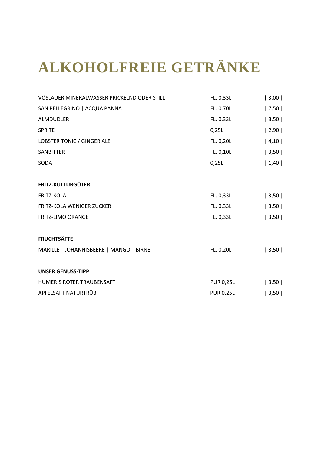# **ALKOHOLFREIE GETRÄNKE**

| VÖSLAUER MINERALWASSER PRICKELND ODER STILL | FL. 0,33L        | 3,00 |
|---------------------------------------------|------------------|------|
| SAN PELLEGRINO   ACQUA PANNA                | FL. 0,70L        | 7,50 |
| ALMDUDLER                                   | FL. 0,33L        | 3,50 |
| <b>SPRITE</b>                               | 0,25L            | 2,90 |
| LOBSTER TONIC / GINGER ALE                  | FL. 0,20L        | 4,10 |
| SANBITTER                                   | FL. 0,10L        | 3,50 |
| SODA                                        | 0,25L            | 1,40 |
|                                             |                  |      |
| <b>FRITZ-KULTURGÜTER</b>                    |                  |      |
| <b>FRITZ-KOLA</b>                           | FL. 0,33L        | 3,50 |
| <b>FRITZ-KOLA WENIGER ZUCKER</b>            | FL. 0,33L        | 3,50 |
| <b>FRITZ-LIMO ORANGE</b>                    | FL. 0,33L        | 3,50 |
|                                             |                  |      |
| <b>FRUCHTSÄFTE</b>                          |                  |      |
| MARILLE   JOHANNISBEERE   MANGO   BIRNE     | FL. 0,20L        | 3,50 |
|                                             |                  |      |
| <b>UNSER GENUSS-TIPP</b>                    |                  |      |
| HUMER'S ROTER TRAUBENSAFT                   | <b>PUR 0,25L</b> | 3,50 |
| APFELSAFT NATURTRÜB                         | <b>PUR 0,25L</b> | 3,50 |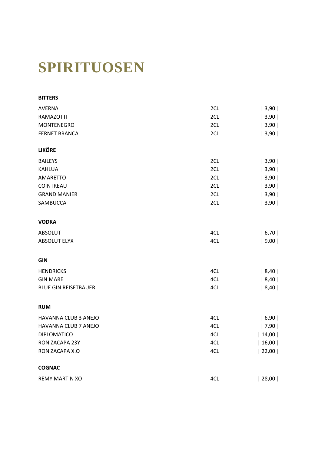# **SPIRITUOSEN**

| <b>BITTERS</b>              |     |       |
|-----------------------------|-----|-------|
| <b>AVERNA</b>               | 2CL | 3,90  |
| <b>RAMAZOTTI</b>            | 2CL | 3,90  |
| <b>MONTENEGRO</b>           | 2CL | 3,90  |
| <b>FERNET BRANCA</b>        | 2CL | 3,90  |
| <b>LIKÖRE</b>               |     |       |
| <b>BAILEYS</b>              | 2CL | 3,90  |
| <b>KAHLUA</b>               | 2CL | 3,90  |
| AMARETTO                    | 2CL | 3,90  |
| COINTREAU                   | 2CL | 3,90  |
| <b>GRAND MANIER</b>         | 2CL | 3,90  |
| SAMBUCCA                    | 2CL | 3,90  |
| <b>VODKA</b>                |     |       |
| <b>ABSOLUT</b>              | 4CL | 6,70  |
| <b>ABSOLUT ELYX</b>         | 4CL | 9,00  |
| <b>GIN</b>                  |     |       |
| <b>HENDRICKS</b>            | 4CL | 8,40  |
| <b>GIN MARE</b>             | 4CL | 8,40  |
| <b>BLUE GIN REISETBAUER</b> | 4CL | 8,40  |
| <b>RUM</b>                  |     |       |
| HAVANNA CLUB 3 ANEJO        | 4CL | 6,90  |
| HAVANNA CLUB 7 ANEJO        | 4CL | 7,90  |
| <b>DIPLOMATICO</b>          | 4CL | 14,00 |
| RON ZACAPA 23Y              | 4CL | 16,00 |
| RON ZACAPA X.O              | 4CL | 22,00 |
| <b>COGNAC</b>               |     |       |
| <b>REMY MARTIN XO</b>       | 4CL | 28,00 |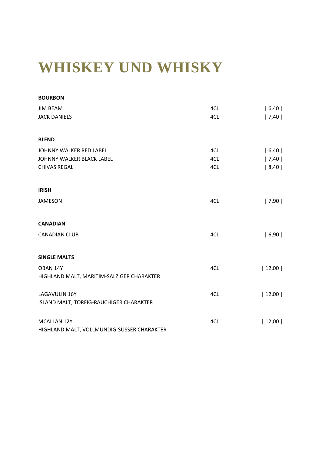## **WHISKEY UND WHISKY**

| <b>BOURBON</b>                             |     |       |
|--------------------------------------------|-----|-------|
| <b>JIM BEAM</b>                            | 4CL | 6,40  |
| <b>JACK DANIELS</b>                        | 4CL | 7,40  |
| <b>BLEND</b>                               |     |       |
| JOHNNY WALKER RED LABEL                    | 4CL | 6,40  |
| JOHNNY WALKER BLACK LABEL                  | 4CL | 7,40  |
| <b>CHIVAS REGAL</b>                        | 4CL | 8,40  |
| <b>IRISH</b>                               |     |       |
| <b>JAMESON</b>                             | 4CL | 7,90  |
| <b>CANADIAN</b>                            |     |       |
| <b>CANADIAN CLUB</b>                       | 4CL | 6,90  |
| <b>SINGLE MALTS</b>                        |     |       |
| OBAN 14Y                                   | 4CL | 12,00 |
| HIGHLAND MALT, MARITIM-SALZIGER CHARAKTER  |     |       |
| LAGAVULIN 16Y                              | 4CL | 12,00 |
| ISLAND MALT, TORFIG-RAUCHIGER CHARAKTER    |     |       |
| MCALLAN 12Y                                | 4CL | 12,00 |
| HIGHLAND MALT, VOLLMUNDIG-SÜSSER CHARAKTER |     |       |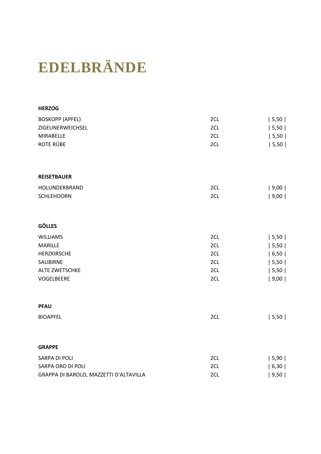# **EDELBRÄNDE**

| <b>HERZOG</b>                          |     |       |
|----------------------------------------|-----|-------|
| <b>BOSKOPP (APFEL)</b>                 | 2CL | 5,50  |
| ZIGEUNERWEICHSEL                       | 2CL | 5,50  |
| MIRABELLE                              | 2CL | 5,50  |
| ROTE RÜBE                              | 2CL | 5,50  |
| <b>REISETBAUER</b>                     |     |       |
| HOLUNDERBRAND                          | 2CL | 9,00  |
| <b>SCHLEHDORN</b>                      | 2CL | 9,00  |
| <b>GÖLLES</b>                          |     |       |
| <b>WILLIAMS</b>                        | 2CL | 5,50  |
| <b>MARILLE</b>                         | 2CL | 5,50  |
| HERZKIRSCHE                            | 2CL | 6, 50 |
| SAUBIRNE                               | 2CL | 5,50  |
| ALTE ZWETSCHKE                         | 2CL | 5,50  |
| VOGELBEERE                             | 2CL | 9,00  |
| <b>PFAU</b>                            |     |       |
| <b>BIOAPFEL</b>                        | 2CL | 5,50  |
| <b>GRAPPE</b>                          |     |       |
| SARPA DI POLI                          | 2CL | 5,90  |
| SARPA ORO DI POLI                      | 2CL | 6,30  |
| GRAPPA DI BAROLO, MAZZETTI D'ALTAVILLA | 2CL | 9,50  |